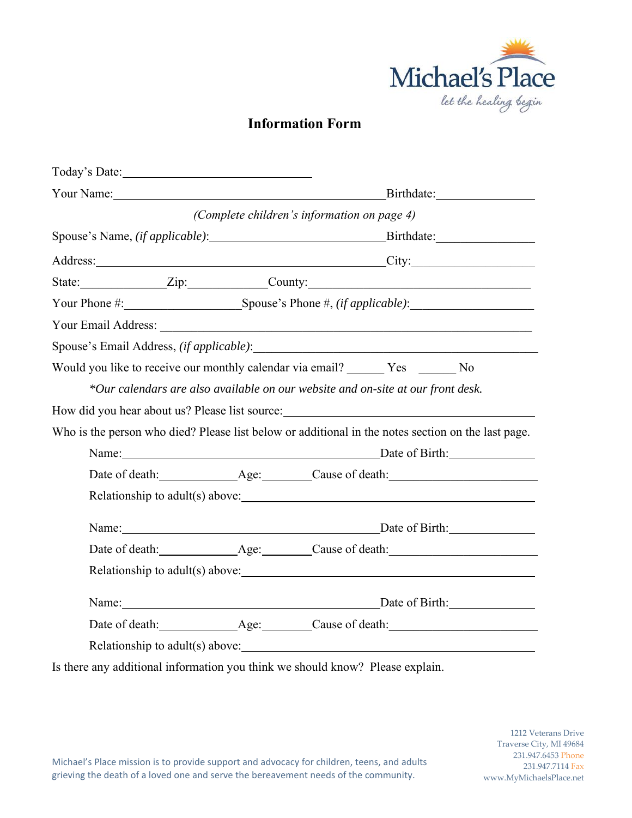

# **Information Form**

| Your Name: 1988<br>(Complete children's information on page 4)<br>Address: City: City:<br>State: <u>Zip:</u> Zip: County:<br>Your Phone #: Spouse's Phone #, (if applicable):<br>Would you like to receive our monthly calendar via email? Yes No<br>*Our calendars are also available on our website and on-site at our front desk.<br>Who is the person who died? Please list below or additional in the notes section on the last page.<br>Name: Date of Birth:<br>Name: Date of Birth: Date of Birth:<br>Name: Date of Birth: Date of Birth: | Today's Date: |            |
|--------------------------------------------------------------------------------------------------------------------------------------------------------------------------------------------------------------------------------------------------------------------------------------------------------------------------------------------------------------------------------------------------------------------------------------------------------------------------------------------------------------------------------------------------|---------------|------------|
|                                                                                                                                                                                                                                                                                                                                                                                                                                                                                                                                                  |               | Birthdate: |
|                                                                                                                                                                                                                                                                                                                                                                                                                                                                                                                                                  |               |            |
|                                                                                                                                                                                                                                                                                                                                                                                                                                                                                                                                                  |               |            |
|                                                                                                                                                                                                                                                                                                                                                                                                                                                                                                                                                  |               |            |
|                                                                                                                                                                                                                                                                                                                                                                                                                                                                                                                                                  |               |            |
|                                                                                                                                                                                                                                                                                                                                                                                                                                                                                                                                                  |               |            |
|                                                                                                                                                                                                                                                                                                                                                                                                                                                                                                                                                  |               |            |
|                                                                                                                                                                                                                                                                                                                                                                                                                                                                                                                                                  |               |            |
|                                                                                                                                                                                                                                                                                                                                                                                                                                                                                                                                                  |               |            |
|                                                                                                                                                                                                                                                                                                                                                                                                                                                                                                                                                  |               |            |
|                                                                                                                                                                                                                                                                                                                                                                                                                                                                                                                                                  |               |            |
|                                                                                                                                                                                                                                                                                                                                                                                                                                                                                                                                                  |               |            |
|                                                                                                                                                                                                                                                                                                                                                                                                                                                                                                                                                  |               |            |
|                                                                                                                                                                                                                                                                                                                                                                                                                                                                                                                                                  |               |            |
|                                                                                                                                                                                                                                                                                                                                                                                                                                                                                                                                                  |               |            |
|                                                                                                                                                                                                                                                                                                                                                                                                                                                                                                                                                  |               |            |
|                                                                                                                                                                                                                                                                                                                                                                                                                                                                                                                                                  |               |            |
|                                                                                                                                                                                                                                                                                                                                                                                                                                                                                                                                                  |               |            |
|                                                                                                                                                                                                                                                                                                                                                                                                                                                                                                                                                  |               |            |
|                                                                                                                                                                                                                                                                                                                                                                                                                                                                                                                                                  |               |            |

Is there any additional information you think we should know? Please explain.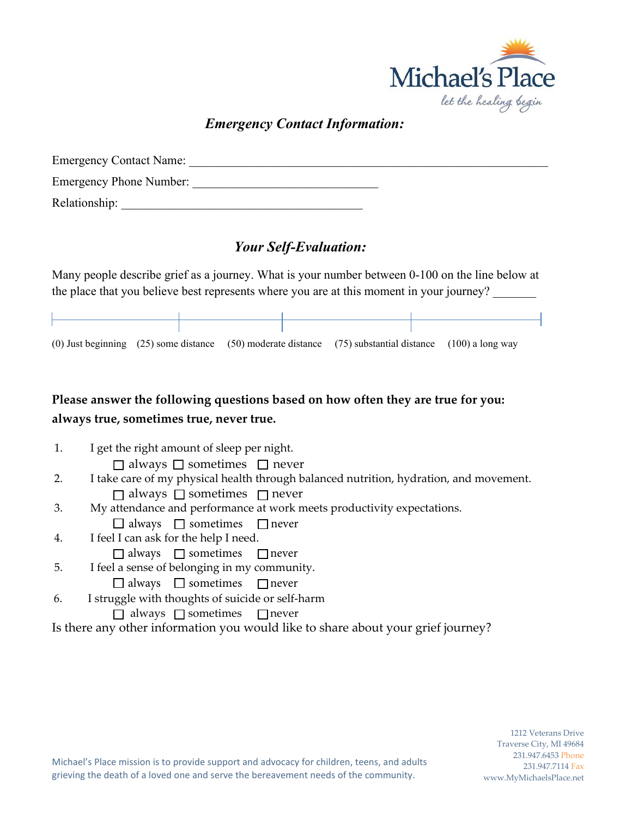

## *Emergency Contact Information:*

| <b>Emergency Contact Name:</b> |  |
|--------------------------------|--|
| <b>Emergency Phone Number:</b> |  |
| Relationship:                  |  |

### *Your Self-Evaluation:*

Many people describe grief as a journey. What is your number between 0-100 on the line below at the place that you believe best represents where you are at this moment in your journey?

|  | (0) Just beginning $(25)$ some distance $(50)$ moderate distance $(75)$ substantial distance $(100)$ a long way |  |
|--|-----------------------------------------------------------------------------------------------------------------|--|

## **Please answer the following questions based on how often they are true for you: always true, sometimes true, never true.**

- 1. I get the right amount of sleep per night.  $\Box$  always  $\Box$  sometimes  $\Box$  never 2. I take care of my physical health through balanced nutrition, hydration, and movement.  $\Box$  always  $\Box$  sometimes  $\Box$  never 3. My attendance and performance at work meets productivity expectations.  $\Box$  always  $\Box$  sometimes  $\Box$  never 4. I feel I can ask for the help I need.  $\Box$  always  $\Box$  sometimes  $\Box$  never
- 5. I feel a sense of belonging in my community.
	- $\Box$  always  $\Box$  sometimes  $\Box$  never
- 6. I struggle with thoughts of suicide or self-harm
	- $\Box$  always  $\Box$  sometimes  $\Box$  never

Is there any other information you would like to share about your grief journey?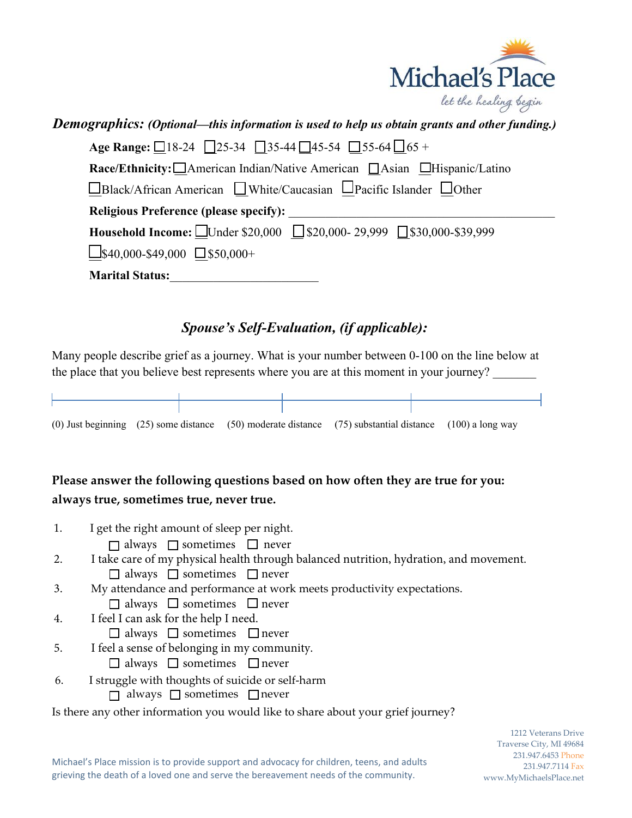

# *Demographics: (Optional—this information is used to help us obtain grants and other funding.)* Age Range: □18-24 □25-34 □35-44 □45-54 □55-64 □65 + **Race/Ethnicity:** □American Indian/Native American □Asian □Hispanic/Latino  $\square$ Black/African American  $\square$ White/Caucasian  $\square$ Pacific Islander  $\square$ Other Religious Preference (please specify): Household Income: □Under \$20,000 □ \$20,000- 29,999 □ \$30,000-\$39.999  $\Box$ \$40,000-\$49,000  $\Box$ \$50,000+ **Marital Status:**\_\_\_\_\_\_\_\_\_\_\_\_\_\_\_\_\_\_\_\_\_\_\_\_

# *Spouse's Self-Evaluation, (if applicable):*

Many people describe grief as a journey. What is your number between 0-100 on the line below at the place that you believe best represents where you are at this moment in your journey?

|  | (0) Just beginning $(25)$ some distance $(50)$ moderate distance $(75)$ substantial distance $(100)$ a long way |  |
|--|-----------------------------------------------------------------------------------------------------------------|--|

# **Please answer the following questions based on how often they are true for you: always true, sometimes true, never true.**

Is there any other information you would like to share about your grief journey? 1. I get the right amount of sleep per night.  $\Box$  always  $\Box$  sometimes  $\Box$  never 2. I take care of my physical health through balanced nutrition, hydration, and movement.  $\Box$  always  $\Box$  sometimes  $\Box$  never 3. My attendance and performance at work meets productivity expectations.  $\Box$  always  $\Box$  sometimes  $\Box$  never 4. I feel I can ask for the help I need.  $\Box$  always  $\Box$  sometimes  $\Box$  never 5. I feel a sense of belonging in my community.  $\Box$  always  $\Box$  sometimes  $\Box$  never 6. I struggle with thoughts of suicide or self-harm  $\Box$  always  $\Box$  sometimes  $\Box$  never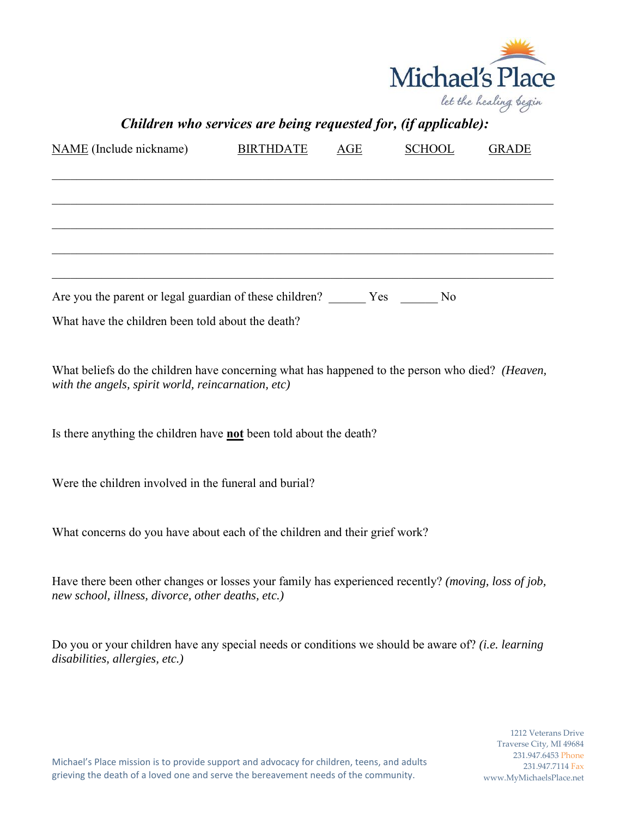

| Children who services are being requested for, (if applicable):                                                                                          |                  |     |               |              |
|----------------------------------------------------------------------------------------------------------------------------------------------------------|------------------|-----|---------------|--------------|
| NAME (Include nickname)                                                                                                                                  | <b>BIRTHDATE</b> | AGE | <b>SCHOOL</b> | <b>GRADE</b> |
|                                                                                                                                                          |                  |     |               |              |
|                                                                                                                                                          |                  |     |               |              |
| Are you the parent or legal guardian of these children? _______ Yes _______                                                                              |                  |     | No            |              |
| What have the children been told about the death?                                                                                                        |                  |     |               |              |
| What beliefs do the children have concerning what has happened to the person who died? (Heaven,<br>with the angels, spirit world, reincarnation, etc)    |                  |     |               |              |
| Is there anything the children have <b>not</b> been told about the death?                                                                                |                  |     |               |              |
| Were the children involved in the funeral and burial?                                                                                                    |                  |     |               |              |
| What concerns do you have about each of the children and their grief work?                                                                               |                  |     |               |              |
| Have there been other changes or losses your family has experienced recently? (moving, loss of job,<br>new school, illness, divorce, other deaths, etc.) |                  |     |               |              |
| Do you or your children have any special needs or conditions we should be aware of? (i.e. learning<br>disabilities, allergies, etc.)                     |                  |     |               |              |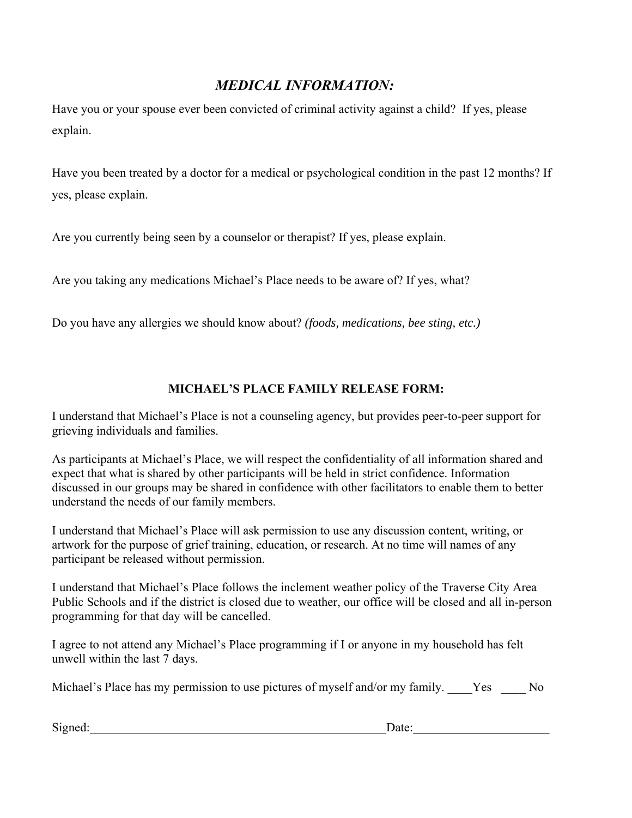### *MEDICAL INFORMATION:*

Have you or your spouse ever been convicted of criminal activity against a child? If yes, please explain.

Have you been treated by a doctor for a medical or psychological condition in the past 12 months? If yes, please explain.

Are you currently being seen by a counselor or therapist? If yes, please explain.

Are you taking any medications Michael's Place needs to be aware of? If yes, what?

Do you have any allergies we should know about? *(foods, medications, bee sting, etc.)*

#### **MICHAEL'S PLACE FAMILY RELEASE FORM:**

I understand that Michael's Place is not a counseling agency, but provides peer-to-peer support for grieving individuals and families.

As participants at Michael's Place, we will respect the confidentiality of all information shared and expect that what is shared by other participants will be held in strict confidence. Information discussed in our groups may be shared in confidence with other facilitators to enable them to better understand the needs of our family members.

I understand that Michael's Place will ask permission to use any discussion content, writing, or artwork for the purpose of grief training, education, or research. At no time will names of any participant be released without permission.

I understand that Michael's Place follows the inclement weather policy of the Traverse City Area Public Schools and if the district is closed due to weather, our office will be closed and all in-person programming for that day will be cancelled.

I agree to not attend any Michael's Place programming if I or anyone in my household has felt unwell within the last 7 days.

Michael's Place has my permission to use pictures of myself and/or my family. Yes No